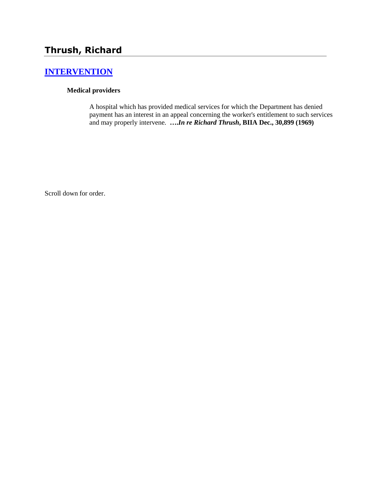# **[INTERVENTION](http://www.biia.wa.gov/SDSubjectIndex.html#INTERVENTION)**

## **Medical providers**

A hospital which has provided medical services for which the Department has denied payment has an interest in an appeal concerning the worker's entitlement to such services and may properly intervene. **….***In re Richard Thrush***, BIIA Dec., 30,899 (1969)**

Scroll down for order.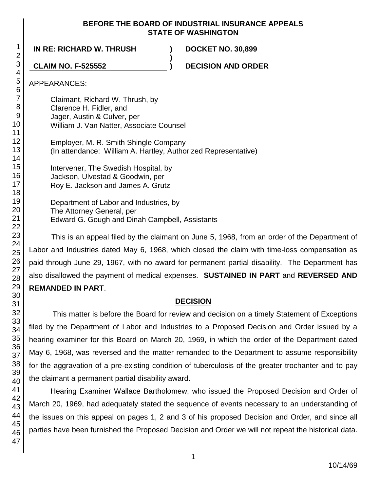### **BEFORE THE BOARD OF INDUSTRIAL INSURANCE APPEALS STATE OF WASHINGTON**

**)**

**IN RE: RICHARD W. THRUSH ) DOCKET NO. 30,899**

**CLAIM NO. F-525552 ) DECISION AND ORDER**

APPEARANCES:

Claimant, Richard W. Thrush, by Clarence H. Fidler, and Jager, Austin & Culver, per William J. Van Natter, Associate Counsel

Employer, M. R. Smith Shingle Company (In attendance: William A. Hartley, Authorized Representative)

Intervener, The Swedish Hospital, by Jackson, Ulvestad & Goodwin, per Roy E. Jackson and James A. Grutz

Department of Labor and Industries, by The Attorney General, per Edward G. Gough and Dinah Campbell, Assistants

This is an appeal filed by the claimant on June 5, 1968, from an order of the Department of Labor and Industries dated May 6, 1968, which closed the claim with time-loss compensation as paid through June 29, 1967, with no award for permanent partial disability. The Department has also disallowed the payment of medical expenses. **SUSTAINED IN PART** and **REVERSED AND REMANDED IN PART**.

## **DECISION**

This matter is before the Board for review and decision on a timely Statement of Exceptions filed by the Department of Labor and Industries to a Proposed Decision and Order issued by a hearing examiner for this Board on March 20, 1969, in which the order of the Department dated May 6, 1968, was reversed and the matter remanded to the Department to assume responsibility for the aggravation of a pre-existing condition of tuberculosis of the greater trochanter and to pay the claimant a permanent partial disability award.

Hearing Examiner Wallace Bartholomew, who issued the Proposed Decision and Order of March 20, 1969, had adequately stated the sequence of events necessary to an understanding of the issues on this appeal on pages 1, 2 and 3 of his proposed Decision and Order, and since all parties have been furnished the Proposed Decision and Order we will not repeat the historical data.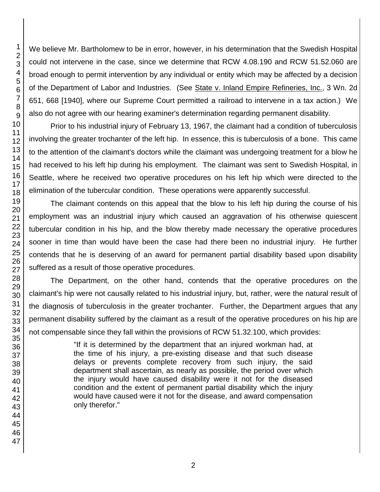We believe Mr. Bartholomew to be in error, however, in his determination that the Swedish Hospital could not intervene in the case, since we determine that RCW 4.08.190 and RCW 51.52.060 are broad enough to permit intervention by any individual or entity which may be affected by a decision of the Department of Labor and Industries. (See State v. Inland Empire Refineries, Inc., 3 Wn. 2d 651, 668 [1940], where our Supreme Court permitted a railroad to intervene in a tax action.) We also do not agree with our hearing examiner's determination regarding permanent disability.

Prior to his industrial injury of February 13, 1967, the claimant had a condition of tuberculosis involving the greater trochanter of the left hip. In essence, this is tuberculosis of a bone. This came to the attention of the claimant's doctors while the claimant was undergoing treatment for a blow he had received to his left hip during his employment. The claimant was sent to Swedish Hospital, in Seattle, where he received two operative procedures on his left hip which were directed to the elimination of the tubercular condition. These operations were apparently successful.

The claimant contends on this appeal that the blow to his left hip during the course of his employment was an industrial injury which caused an aggravation of his otherwise quiescent tubercular condition in his hip, and the blow thereby made necessary the operative procedures sooner in time than would have been the case had there been no industrial injury. He further contends that he is deserving of an award for permanent partial disability based upon disability suffered as a result of those operative procedures.

The Department, on the other hand, contends that the operative procedures on the claimant's hip were not causally related to his industrial injury, but, rather, were the natural result of the diagnosis of tuberculosis in the greater trochanter. Further, the Department argues that any permanent disability suffered by the claimant as a result of the operative procedures on his hip are not compensable since they fall within the provisions of RCW 51.32.100, which provides:

> "If it is determined by the department that an injured workman had, at the time of his injury, a pre-existing disease and that such disease delays or prevents complete recovery from such injury, the said department shall ascertain, as nearly as possible, the period over which the injury would have caused disability were it not for the diseased condition and the extent of permanent partial disability which the injury would have caused were it not for the disease, and award compensation only therefor."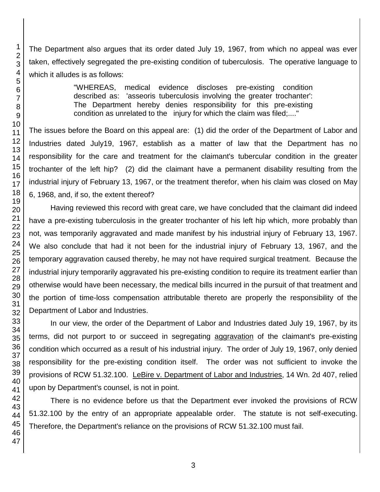The Department also argues that its order dated July 19, 1967, from which no appeal was ever taken, effectively segregated the pre-existing condition of tuberculosis. The operative language to which it alludes is as follows:

> "WHEREAS, medical evidence discloses pre-existing condition described as: 'asseoris tuberculosis involving the greater trochanter': The Department hereby denies responsibility for this pre-existing condition as unrelated to the injury for which the claim was filed;...."

The issues before the Board on this appeal are: (1) did the order of the Department of Labor and Industries dated July19, 1967, establish as a matter of law that the Department has no responsibility for the care and treatment for the claimant's tubercular condition in the greater trochanter of the left hip? (2) did the claimant have a permanent disability resulting from the industrial injury of February 13, 1967, or the treatment therefor, when his claim was closed on May 6, 1968, and, if so, the extent thereof?

Having reviewed this record with great care, we have concluded that the claimant did indeed have a pre-existing tuberculosis in the greater trochanter of his left hip which, more probably than not, was temporarily aggravated and made manifest by his industrial injury of February 13, 1967. We also conclude that had it not been for the industrial injury of February 13, 1967, and the temporary aggravation caused thereby, he may not have required surgical treatment. Because the industrial injury temporarily aggravated his pre-existing condition to require its treatment earlier than otherwise would have been necessary, the medical bills incurred in the pursuit of that treatment and the portion of time-loss compensation attributable thereto are properly the responsibility of the Department of Labor and Industries.

In our view, the order of the Department of Labor and Industries dated July 19, 1967, by its terms, did not purport to or succeed in segregating aggravation of the claimant's pre-existing condition which occurred as a result of his industrial injury. The order of July 19, 1967, only denied responsibility for the pre-existing condition itself. The order was not sufficient to invoke the provisions of RCW 51.32.100. LeBire v. Department of Labor and Industries, 14 Wn. 2d 407, relied upon by Department's counsel, is not in point.

There is no evidence before us that the Department ever invoked the provisions of RCW 51.32.100 by the entry of an appropriate appealable order. The statute is not self-executing. Therefore, the Department's reliance on the provisions of RCW 51.32.100 must fail.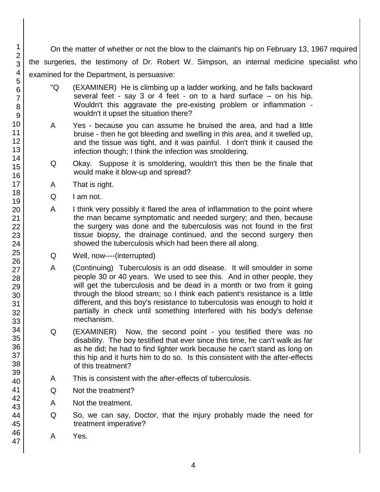On the matter of whether or not the blow to the claimant's hip on February 13, 1967 required the surgeries, the testimony of Dr. Robert W. Simpson, an internal medicine specialist who examined for the Department, is persuasive:

- "Q (EXAMINER) He is climbing up a ladder working, and he falls backward several feet - say 3 or 4 feet - on to a hard surface – on his hip. Wouldn't this aggravate the pre-existing problem or inflammation wouldn't it upset the situation there?
- A Yes because you can assume he bruised the area, and had a little bruise - then he got bleeding and swelling in this area, and it swelled up, and the tissue was tight, and it was painful. I don't think it caused the infection though; I think the infection was smoldering.
- Q Okay. Suppose it is smoldering, wouldn't this then be the finale that would make it blow-up and spread?
- A That is right.
- Q I am not.
- A I think very possibly it flared the area of inflammation to the point where the man became symptomatic and needed surgery; and then, because the surgery was done and the tuberculosis was not found in the first tissue biopsy, the drainage continued, and the second surgery then showed the tuberculosis which had been there all along.
- Q Well, now----(interrupted)
- A (Continuing) Tuberculosis is an odd disease. It will smoulder in some people 30 or 40 years. We used to see this. And in other people, they will get the tuberculosis and be dead in a month or two from it going through the blood stream; so I think each patient's resistance is a little different, and this boy's resistance to tuberculosis was enough to hold it partially in check until something interfered with his body's defense mechanism.
- Q (EXAMINER) Now, the second point you testified there was no disability. The boy testified that ever since this time, he can't walk as far as he did; he had to find lighter work because he can't stand as long on this hip and it hurts him to do so. Is this consistent with the after-effects of this treatment?
- A This is consistent with the after-effects of tuberculosis.
- Q Not the treatment?
- A Not the treatment.
- Q So, we can say, Doctor, that the injury probably made the need for treatment imperative?
- A Yes.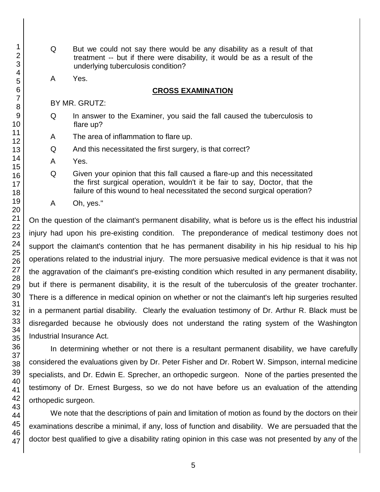- Q But we could not say there would be any disability as a result of that treatment -- but if there were disability, it would be as a result of the underlying tuberculosis condition?
- A Yes.

#### **CROSS EXAMINATION**

BY MR. GRUTZ:

- Q In answer to the Examiner, you said the fall caused the tuberculosis to flare up?
- A The area of inflammation to flare up.
- Q And this necessitated the first surgery, is that correct?
- A Yes.
- Q Given your opinion that this fall caused a flare-up and this necessitated the first surgical operation, wouldn't it be fair to say, Doctor, that the failure of this wound to heal necessitated the second surgical operation?
- A Oh, yes."

On the question of the claimant's permanent disability, what is before us is the effect his industrial injury had upon his pre-existing condition. The preponderance of medical testimony does not support the claimant's contention that he has permanent disability in his hip residual to his hip operations related to the industrial injury. The more persuasive medical evidence is that it was not the aggravation of the claimant's pre-existing condition which resulted in any permanent disability, but if there is permanent disability, it is the result of the tuberculosis of the greater trochanter. There is a difference in medical opinion on whether or not the claimant's left hip surgeries resulted in a permanent partial disability. Clearly the evaluation testimony of Dr. Arthur R. Black must be disregarded because he obviously does not understand the rating system of the Washington Industrial Insurance Act.

In determining whether or not there is a resultant permanent disability, we have carefully considered the evaluations given by Dr. Peter Fisher and Dr. Robert W. Simpson, internal medicine specialists, and Dr. Edwin E. Sprecher, an orthopedic surgeon. None of the parties presented the testimony of Dr. Ernest Burgess, so we do not have before us an evaluation of the attending orthopedic surgeon.

We note that the descriptions of pain and limitation of motion as found by the doctors on their examinations describe a minimal, if any, loss of function and disability. We are persuaded that the doctor best qualified to give a disability rating opinion in this case was not presented by any of the

1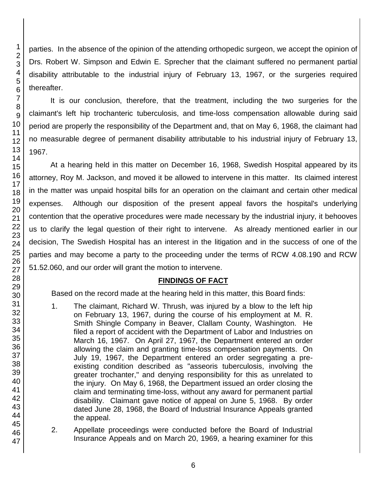- 1. The claimant, Richard W. Thrush, was injured by a blow to the left hip on February 13, 1967, during the course of his employment at M. R. Smith Shingle Company in Beaver, Clallam County, Washington. He filed a report of accident with the Department of Labor and Industries on March 16, 1967. On April 27, 1967, the Department entered an order allowing the claim and granting time-loss compensation payments. On July 19, 1967, the Department entered an order segregating a preexisting condition described as "asseoris tuberculosis, involving the greater trochanter," and denying responsibility for this as unrelated to the injury. On May 6, 1968, the Department issued an order closing the claim and terminating time-loss, without any award for permanent partial disability. Claimant gave notice of appeal on June 5, 1968. By order dated June 28, 1968, the Board of Industrial Insurance Appeals granted the appeal.
- 2. Appellate proceedings were conducted before the Board of Industrial Insurance Appeals and on March 20, 1969, a hearing examiner for this

parties. In the absence of the opinion of the attending orthopedic surgeon, we accept the opinion of Drs. Robert W. Simpson and Edwin E. Sprecher that the claimant suffered no permanent partial disability attributable to the industrial injury of February 13, 1967, or the surgeries required

It is our conclusion, therefore, that the treatment, including the two surgeries for the claimant's left hip trochanteric tuberculosis, and time-loss compensation allowable during said period are properly the responsibility of the Department and, that on May 6, 1968, the claimant had no measurable degree of permanent disability attributable to his industrial injury of February 13, At a hearing held in this matter on December 16, 1968, Swedish Hospital appeared by its attorney, Roy M. Jackson, and moved it be allowed to intervene in this matter. Its claimed interest in the matter was unpaid hospital bills for an operation on the claimant and certain other medical expenses. Although our disposition of the present appeal favors the hospital's underlying contention that the operative procedures were made necessary by the industrial injury, it behooves us to clarify the legal question of their right to intervene. As already mentioned earlier in our decision, The Swedish Hospital has an interest in the litigation and in the success of one of the parties and may become a party to the proceeding under the terms of RCW 4.08.190 and RCW 51.52.060, and our order will grant the motion to intervene.

## **FINDINGS OF FACT**

Based on the record made at the hearing held in this matter, this Board finds: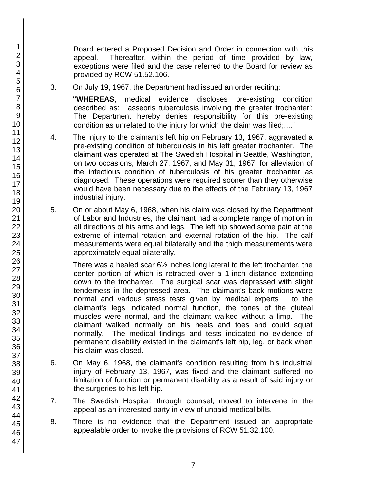Board entered a Proposed Decision and Order in connection with this appeal. Thereafter, within the period of time provided by law, exceptions were filed and the case referred to the Board for review as provided by RCW 51.52.106.

3. On July 19, 1967, the Department had issued an order reciting:

**"WHEREAS**, medical evidence discloses pre-existing condition described as: 'asseoris tuberculosis involving the greater trochanter': The Department hereby denies responsibility for this pre-existing condition as unrelated to the injury for which the claim was filed;...."

- 4. The injury to the claimant's left hip on February 13, 1967, aggravated a pre-existing condition of tuberculosis in his left greater trochanter. The claimant was operated at The Swedish Hospital in Seattle, Washington, on two occasions, March 27, 1967, and May 31, 1967, for alleviation of the infectious condition of tuberculosis of his greater trochanter as diagnosed. These operations were required sooner than they otherwise would have been necessary due to the effects of the February 13, 1967 industrial injury.
- 5. On or about May 6, 1968, when his claim was closed by the Department of Labor and Industries, the claimant had a complete range of motion in all directions of his arms and legs. The left hip showed some pain at the extreme of internal rotation and external rotation of the hip. The calf measurements were equal bilaterally and the thigh measurements were approximately equal bilaterally.

There was a healed scar 6½ inches long lateral to the left trochanter, the center portion of which is retracted over a 1-inch distance extending down to the trochanter. The surgical scar was depressed with slight tenderness in the depressed area. The claimant's back motions were normal and various stress tests given by medical experts to the claimant's legs indicated normal function, the tones of the gluteal muscles were normal, and the claimant walked without a limp. The claimant walked normally on his heels and toes and could squat normally. The medical findings and tests indicated no evidence of permanent disability existed in the claimant's left hip, leg, or back when his claim was closed.

- 6. On May 6, 1968, the claimant's condition resulting from his industrial injury of February 13, 1967, was fixed and the claimant suffered no limitation of function or permanent disability as a result of said injury or the surgeries to his left hip.
- 7. The Swedish Hospital, through counsel, moved to intervene in the appeal as an interested party in view of unpaid medical bills.
- 8. There is no evidence that the Department issued an appropriate appealable order to invoke the provisions of RCW 51.32.100.
- 2 3 4 5 6 7 8 9 10 11 12 13 14 15 16 17 18 19 20 21 22 23 24 25 26 27 28 29 30 31 32 33 34 35 36 37 38 39 40 41 42 43 44 45 46 47

1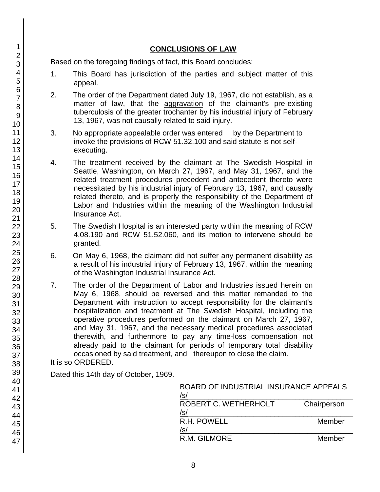## **CONCLUSIONS OF LAW**

Based on the foregoing findings of fact, this Board concludes:

- 1. This Board has jurisdiction of the parties and subject matter of this appeal.
- 2. The order of the Department dated July 19, 1967, did not establish, as a matter of law, that the aggravation of the claimant's pre-existing tuberculosis of the greater trochanter by his industrial injury of February 13, 1967, was not causally related to said injury.
- 3. No appropriate appealable order was entered by the Department to invoke the provisions of RCW 51.32.100 and said statute is not selfexecuting.
- 4. The treatment received by the claimant at The Swedish Hospital in Seattle, Washington, on March 27, 1967, and May 31, 1967, and the related treatment procedures precedent and antecedent thereto were necessitated by his industrial injury of February 13, 1967, and causally related thereto, and is properly the responsibility of the Department of Labor and Industries within the meaning of the Washington Industrial Insurance Act.
- 5. The Swedish Hospital is an interested party within the meaning of RCW 4.08.190 and RCW 51.52.060, and its motion to intervene should be granted.
- 6. On May 6, 1968, the claimant did not suffer any permanent disability as a result of his industrial injury of February 13, 1967, within the meaning of the Washington Industrial Insurance Act.
- 7. The order of the Department of Labor and Industries issued herein on May 6, 1968, should be reversed and this matter remanded to the Department with instruction to accept responsibility for the claimant's hospitalization and treatment at The Swedish Hospital, including the operative procedures performed on the claimant on March 27, 1967, and May 31, 1967, and the necessary medical procedures associated therewith, and furthermore to pay any time-loss compensation not already paid to the claimant for periods of temporary total disability occasioned by said treatment, and thereupon to close the claim. It is so ORDERED.

Dated this 14th day of October, 1969.

| <b>BOARD OF INDUSTRIAL INSURANCE APPEALS</b><br>/s/ |             |
|-----------------------------------------------------|-------------|
| ROBERT C. WETHERHOLT<br>/s/                         | Chairperson |
| R.H. POWELL<br>/s/                                  | Member      |
| R.M. GILMORE                                        | Member      |